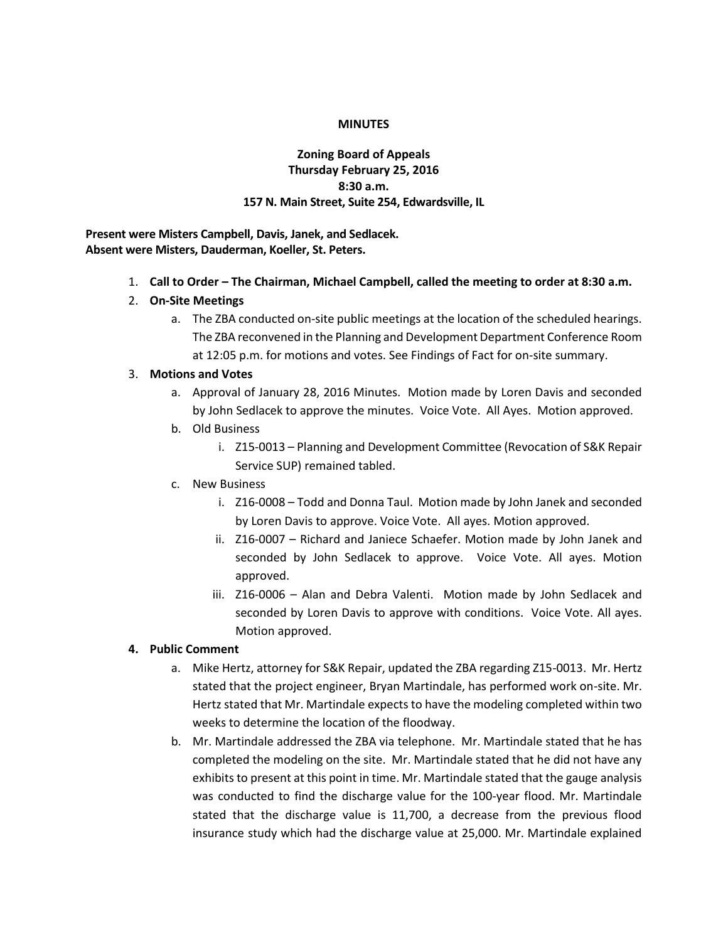#### **MINUTES**

## **Zoning Board of Appeals Thursday February 25, 2016 8:30 a.m. 157 N. Main Street, Suite 254, Edwardsville, IL**

**Present were Misters Campbell, Davis, Janek, and Sedlacek. Absent were Misters, Dauderman, Koeller, St. Peters.**

- 1. **Call to Order – The Chairman, Michael Campbell, called the meeting to order at 8:30 a.m.**
- 2. **On-Site Meetings**
	- a. The ZBA conducted on-site public meetings at the location of the scheduled hearings. The ZBA reconvened in the Planning and Development Department Conference Room at 12:05 p.m. for motions and votes. See Findings of Fact for on-site summary.

#### 3. **Motions and Votes**

- a. Approval of January 28, 2016 Minutes. Motion made by Loren Davis and seconded by John Sedlacek to approve the minutes. Voice Vote. All Ayes. Motion approved.
- b. Old Business
	- i. Z15-0013 Planning and Development Committee (Revocation of S&K Repair Service SUP) remained tabled.
- c. New Business
	- i. Z16-0008 Todd and Donna Taul. Motion made by John Janek and seconded by Loren Davis to approve. Voice Vote. All ayes. Motion approved.
	- ii. Z16-0007 Richard and Janiece Schaefer. Motion made by John Janek and seconded by John Sedlacek to approve. Voice Vote. All ayes. Motion approved.
	- iii. Z16-0006 Alan and Debra Valenti. Motion made by John Sedlacek and seconded by Loren Davis to approve with conditions. Voice Vote. All ayes. Motion approved.

### **4. Public Comment**

- a. Mike Hertz, attorney for S&K Repair, updated the ZBA regarding Z15-0013. Mr. Hertz stated that the project engineer, Bryan Martindale, has performed work on-site. Mr. Hertz stated that Mr. Martindale expects to have the modeling completed within two weeks to determine the location of the floodway.
- b. Mr. Martindale addressed the ZBA via telephone. Mr. Martindale stated that he has completed the modeling on the site. Mr. Martindale stated that he did not have any exhibits to present at this point in time. Mr. Martindale stated that the gauge analysis was conducted to find the discharge value for the 100-year flood. Mr. Martindale stated that the discharge value is 11,700, a decrease from the previous flood insurance study which had the discharge value at 25,000. Mr. Martindale explained